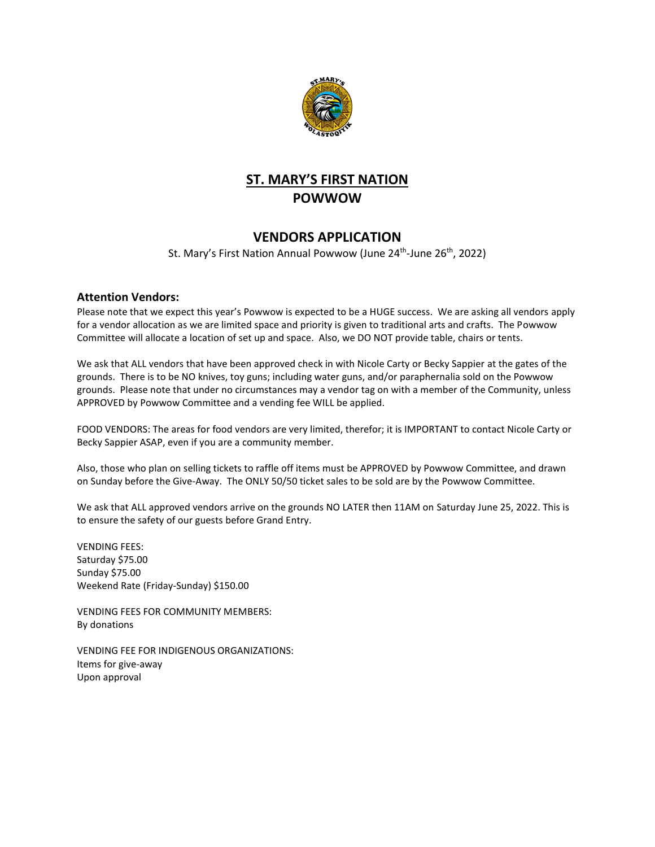

## **ST. MARY'S FIRST NATION POWWOW**

## **VENDORS APPLICATION**

St. Mary's First Nation Annual Powwow (June 24<sup>th</sup>-June 26<sup>th</sup>, 2022)

## **Attention Vendors:**

Please note that we expect this year's Powwow is expected to be a HUGE success. We are asking all vendors apply for a vendor allocation as we are limited space and priority is given to traditional arts and crafts. The Powwow Committee will allocate a location of set up and space. Also, we DO NOT provide table, chairs or tents.

We ask that ALL vendors that have been approved check in with Nicole Carty or Becky Sappier at the gates of the grounds. There is to be NO knives, toy guns; including water guns, and/or paraphernalia sold on the Powwow grounds. Please note that under no circumstances may a vendor tag on with a member of the Community, unless APPROVED by Powwow Committee and a vending fee WILL be applied.

FOOD VENDORS: The areas for food vendors are very limited, therefor; it is IMPORTANT to contact Nicole Carty or Becky Sappier ASAP, even if you are a community member.

Also, those who plan on selling tickets to raffle off items must be APPROVED by Powwow Committee, and drawn on Sunday before the Give-Away. The ONLY 50/50 ticket sales to be sold are by the Powwow Committee.

We ask that ALL approved vendors arrive on the grounds NO LATER then 11AM on Saturday June 25, 2022. This is to ensure the safety of our guests before Grand Entry.

VENDING FEES: Saturday \$75.00 Sunday \$75.00 Weekend Rate (Friday-Sunday) \$150.00

VENDING FEES FOR COMMUNITY MEMBERS: By donations

VENDING FEE FOR INDIGENOUS ORGANIZATIONS: Items for give-away Upon approval